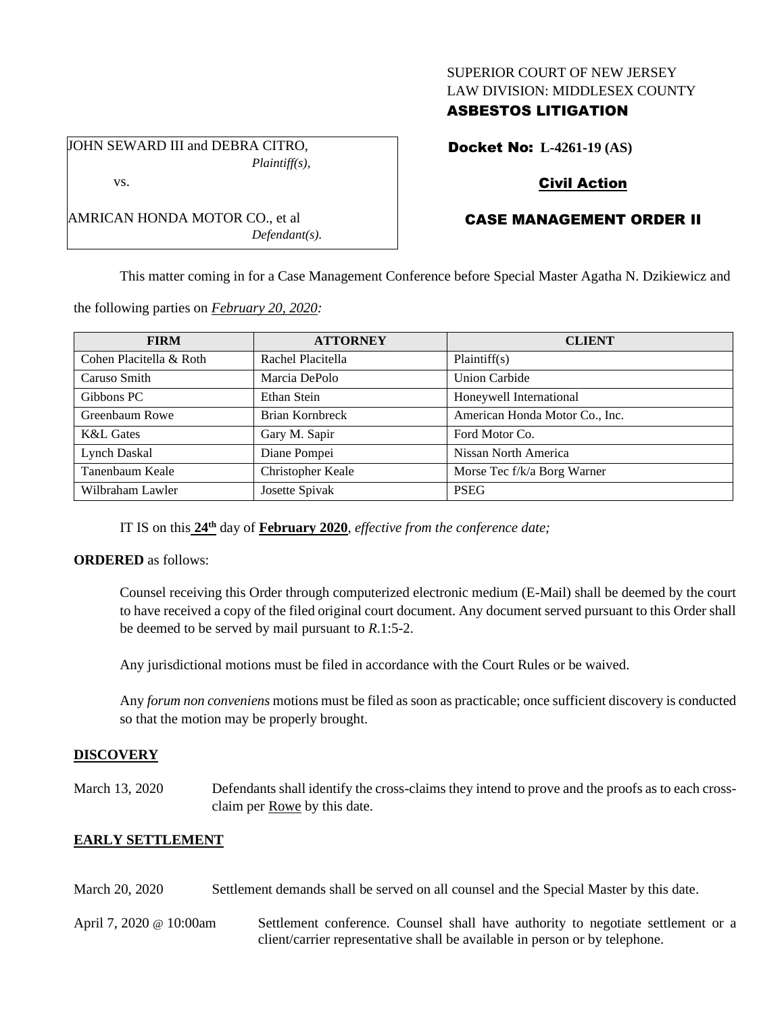#### SUPERIOR COURT OF NEW JERSEY LAW DIVISION: MIDDLESEX COUNTY

### ASBESTOS LITIGATION

JOHN SEWARD III and DEBRA CITRO, *Plaintiff(s),* vs.

AMRICAN HONDA MOTOR CO., et al

Docket No: **L-4261-19 (AS)**

## Civil Action

# CASE MANAGEMENT ORDER II

This matter coming in for a Case Management Conference before Special Master Agatha N. Dzikiewicz and

the following parties on *February 20, 2020:*

*Defendant(s).*

| <b>FIRM</b>             | <b>ATTORNEY</b>   | <b>CLIENT</b>                  |
|-------------------------|-------------------|--------------------------------|
| Cohen Placitella & Roth | Rachel Placitella | Plaintiff(s)                   |
| Caruso Smith            | Marcia DePolo     | <b>Union Carbide</b>           |
| Gibbons PC              | Ethan Stein       | Honeywell International        |
| Greenbaum Rowe          | Brian Kornbreck   | American Honda Motor Co., Inc. |
| <b>K&amp;L</b> Gates    | Gary M. Sapir     | Ford Motor Co.                 |
| <b>Lynch Daskal</b>     | Diane Pompei      | Nissan North America           |
| Tanenbaum Keale         | Christopher Keale | Morse Tec f/k/a Borg Warner    |
| Wilbraham Lawler        | Josette Spivak    | <b>PSEG</b>                    |

IT IS on this **24th** day of **February 2020**, *effective from the conference date;*

#### **ORDERED** as follows:

Counsel receiving this Order through computerized electronic medium (E-Mail) shall be deemed by the court to have received a copy of the filed original court document. Any document served pursuant to this Order shall be deemed to be served by mail pursuant to *R*.1:5-2.

Any jurisdictional motions must be filed in accordance with the Court Rules or be waived.

Any *forum non conveniens* motions must be filed as soon as practicable; once sufficient discovery is conducted so that the motion may be properly brought.

#### **DISCOVERY**

March 13, 2020 Defendants shall identify the cross-claims they intend to prove and the proofs as to each crossclaim per Rowe by this date.

#### **EARLY SETTLEMENT**

- March 20, 2020 Settlement demands shall be served on all counsel and the Special Master by this date.
- April 7, 2020 @ 10:00am Settlement conference. Counsel shall have authority to negotiate settlement or a client/carrier representative shall be available in person or by telephone.